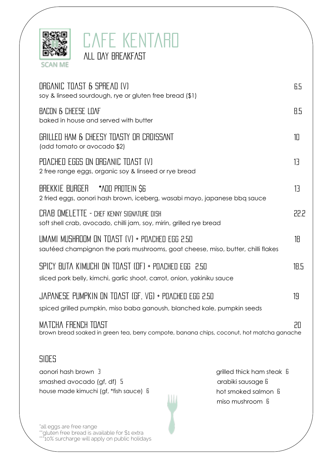



| ORGANIC TOAST & SPREAD (V)<br>soy & linseed sourdough, rye or gluten free bread (\$1)                                                                                                                      |    |
|------------------------------------------------------------------------------------------------------------------------------------------------------------------------------------------------------------|----|
| BACON & CHEESE LOAF<br>baked in house and served with butter                                                                                                                                               |    |
| GRILLED HAM & CHEESY TOASTY OR CROISSANT<br>(add tomato or avocado \$2)                                                                                                                                    |    |
| POACHED EGGS ON ORGANIC TOAST (V)<br>2 free range eggs, organic soy & linseed or rye bread                                                                                                                 |    |
| BREKKIE BURGER *^DD PROTEIN \$6<br>2 fried eggs, aonori hash brown, iceberg, wasabi mayo, japanese bbq sauce                                                                                               |    |
| CRAB OMELETTE - CHEF KENNY SIGNATURE DISH<br>soft shell crab, avocado, chilli jam, soy, mirin, grilled rye bread                                                                                           |    |
| UMAMI MUSHROOM ON TOAST (V) + POACHED EGG 2.50<br>sautéed champignon the paris mushrooms, goat cheese, miso, butter, chilli flakes                                                                         |    |
| SPICY BUTA KIMUCHI ON TOAST (OF) + POACHED EGG 2.50<br>sliced pork belly, kimchi, garlic shoot, carrot, onion, yakiniku sauce                                                                              |    |
| JAPANESE PUMPKIN ON TOAST (GF, VG) + POACHED EGG 2.50<br>spiced grilled pumpkin, miso baba ganoush, blanched kale, pumpkin seeds                                                                           |    |
| MATCHA FRENCH TOAST<br>brown bread soaked in green tea, berry compote, banana chips, coconut, hot matcha ganache                                                                                           | 20 |
| SIDES                                                                                                                                                                                                      |    |
| aonori hash brown 3<br>grilled thick ham steak <b>f</b><br>arabiki sausage fi<br>smashed avocado (gf, df) $5$<br>house made kimuchi (gf, *fish sauce) b<br>hot smoked salmon <b>fi</b><br>miso mushroom fi |    |

\*all eggs are free range \*\*gluten free bread is available for \$1 extra \*\*\*10% surcharge will apply on public holidays